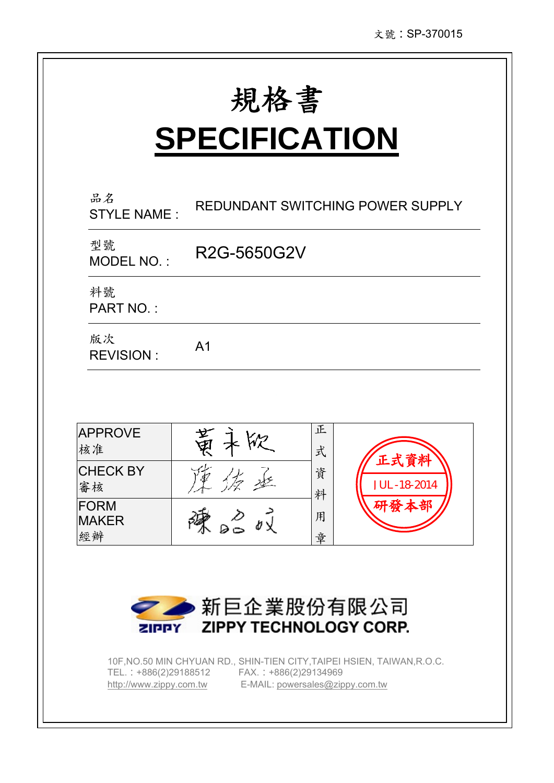# **SPECIFICATION**

| REDUNDANT SWITCHING POWER SUPPLY    |
|-------------------------------------|
| R2G-5650G2V                         |
|                                     |
| A <sub>1</sub>                      |
|                                     |
| 正<br>भू<br>स्<br>式                  |
| 木版<br>正式資料<br>資<br>JUL-18-2014<br>料 |
| 研發本部<br>50V<br>用<br>章               |
|                                     |



10F,NO.50 MIN CHYUAN RD., SHIN-TIEN CITY,TAIPEI HSIEN, TAIWAN,R.O.C. TEL.:+886(2)29188512 FAX.:+886(2)29134969 http://www.zippy.com.tw E-MAIL: powersales@zippy.com.tw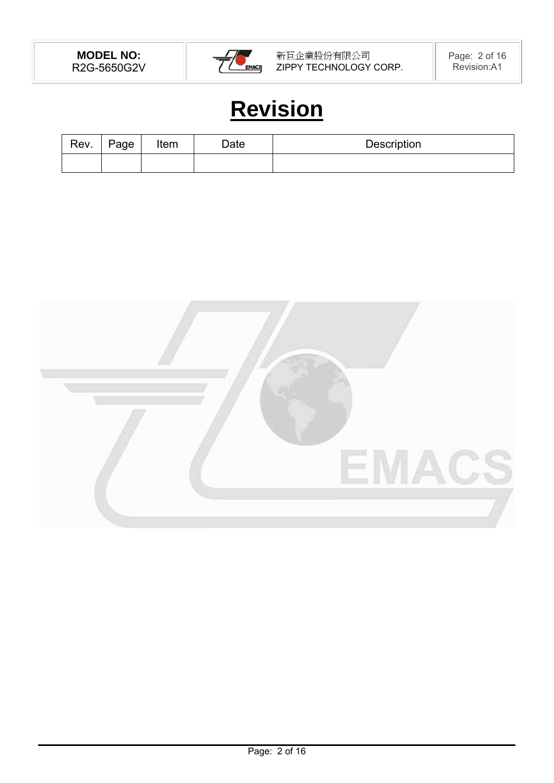

# **Revision**

| Rev. | Page | Item | $\Delta$ ate | Description |
|------|------|------|--------------|-------------|
|      |      |      |              |             |

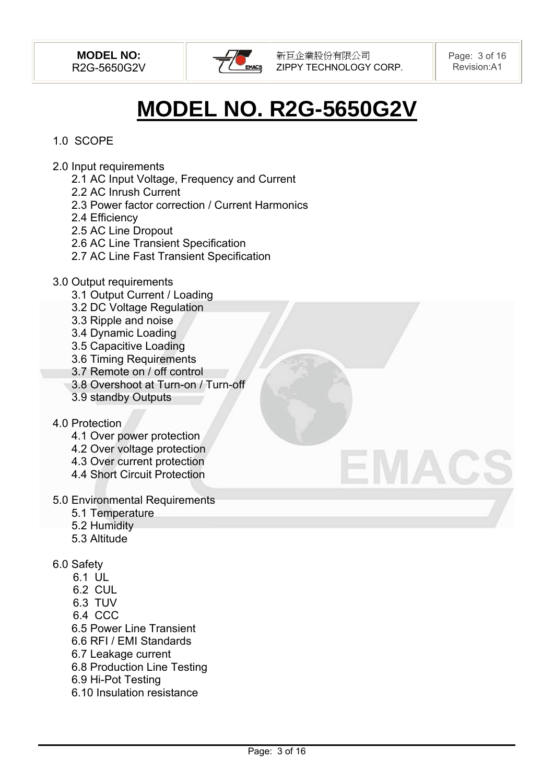

# **MODEL NO. R2G-5650G2V**

# 1.0 SCOPE

- 2.0 Input requirements
	- 2.1 AC Input Voltage, Frequency and Current
	- 2.2 AC Inrush Current
	- 2.3 Power factor correction / Current Harmonics
	- 2.4 Efficiency
	- 2.5 AC Line Dropout
	- 2.6 AC Line Transient Specification
	- 2.7 AC Line Fast Transient Specification
- 3.0 Output requirements
	- 3.1 Output Current / Loading
	- 3.2 DC Voltage Regulation
	- 3.3 Ripple and noise
	- 3.4 Dynamic Loading
	- 3.5 Capacitive Loading
	- 3.6 Timing Requirements
	- 3.7 Remote on / off control
	- 3.8 Overshoot at Turn-on / Turn-off
	- 3.9 standby Outputs

#### 4.0 Protection

- 4.1 Over power protection
- 4.2 Over voltage protection
- 4.3 Over current protection
- 4.4 Short Circuit Protection
- 5.0 Environmental Requirements
	- 5.1 Temperature
	- 5.2 Humidity
	- 5.3 Altitude
- 6.0 Safety
	- 6.1 UL
	- 6.2 CUL
	- 6.3 TUV
	- 6.4 CCC
	- 6.5 Power Line Transient
	- 6.6 RFI / EMI Standards
	- 6.7 Leakage current
	- 6.8 Production Line Testing
	- 6.9 Hi-Pot Testing
	- 6.10 Insulation resistance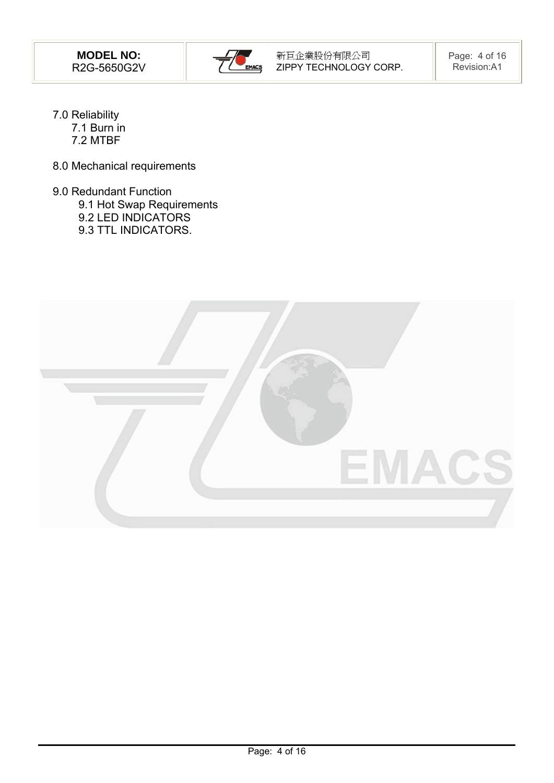

- 7.0 Reliability 7.1 Burn in 7.2 MTBF
- 8.0 Mechanical requirements
- 9.0 Redundant Function
	- 9.1 Hot Swap Requirements
	- 9.2 LED INDICATORS
	- 9.3 TTL INDICATORS.

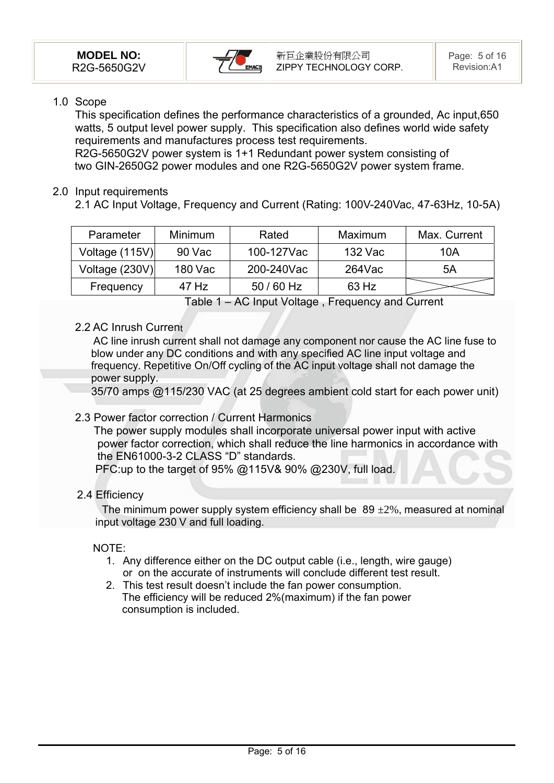

#### 1.0 Scope

This specification defines the performance characteristics of a grounded, Ac input,650 watts, 5 output level power supply. This specification also defines world wide safety requirements and manufactures process test requirements.

R2G-5650G2V power system is 1+1 Redundant power system consisting of two GIN-2650G2 power modules and one R2G-5650G2V power system frame.

#### 2.0 Input requirements

2.1 AC Input Voltage, Frequency and Current (Rating: 100V-240Vac, 47-63Hz, 10-5A)

| Parameter      | <b>Minimum</b> | Rated      | Maximum | Max. Current |
|----------------|----------------|------------|---------|--------------|
| Voltage (115V) | 90 Vac         | 100-127Vac | 132 Vac | 10A          |
| Voltage (230V) | 180 Vac        | 200-240Vac | 264Vac  | 5A           |
| Frequency      | 47 Hz          | 50 / 60 Hz | 63 Hz   |              |

Table 1 – AC Input Voltage , Frequency and Current

# 2.2 AC Inrush Current

 AC line inrush current shall not damage any component nor cause the AC line fuse to blow under any DC conditions and with any specified AC line input voltage and frequency. Repetitive On/Off cycling of the AC input voltage shall not damage the power supply.

35/70 amps @115/230 VAC (at 25 degrees ambient cold start for each power unit) .

#### 2.3 Power factor correction / Current Harmonics

 The power supply modules shall incorporate universal power input with active power factor correction, which shall reduce the line harmonics in accordance with the EN61000-3-2 CLASS "D" standards.

PFC:up to the target of 95% @115V& 90% @230V, full load.

# 2.4 Efficiency

The minimum power supply system efficiency shall be  $89 \pm 2\%$ , measured at nominal input voltage 230 V and full loading.

#### NOTE:

- 1. Any difference either on the DC output cable (i.e., length, wire gauge) or on the accurate of instruments will conclude different test result.
- 2. This test result doesn't include the fan power consumption. The efficiency will be reduced 2%(maximum) if the fan power consumption is included.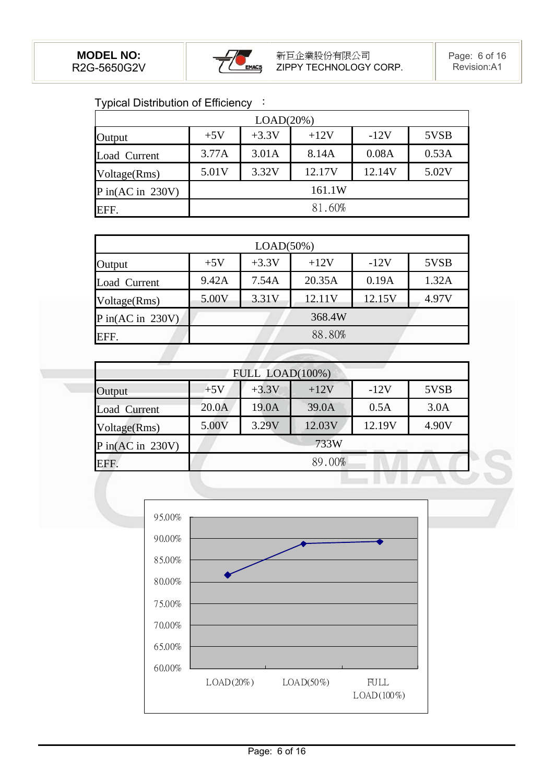

Typical Distribution of Efficiency :

| LOAD(20%)          |        |         |        |        |       |  |  |
|--------------------|--------|---------|--------|--------|-------|--|--|
| Output             | $+5V$  | $+3.3V$ | $+12V$ | $-12V$ | 5VSB  |  |  |
| Load Current       | 3.77A  | 3.01A   | 8.14A  | 0.08A  | 0.53A |  |  |
| Voltage(Rms)       | 5.01V  | 3.32V   | 12.17V | 12.14V | 5.02V |  |  |
| $P$ in(AC in 230V) | 161.1W |         |        |        |       |  |  |
| EFF.               | 81.60% |         |        |        |       |  |  |

| LOAD(50%)               |       |         |        |        |       |  |  |
|-------------------------|-------|---------|--------|--------|-------|--|--|
| Output                  | $+5V$ | $+3.3V$ | $+12V$ | $-12V$ | 5VSB  |  |  |
| Load Current            | 9.42A | 7.54A   | 20.35A | 0.19A  | 1.32A |  |  |
| Voltage(Rms)            | 5.00V | 3.31V   | 12.11V | 12.15V | 4.97V |  |  |
| $P$ in $(AC$ in $230V)$ |       |         | 368.4W |        |       |  |  |
| EFF.                    |       |         | 88.80% |        |       |  |  |

| FULL LOAD(100%)    |        |         |        |        |       |  |  |
|--------------------|--------|---------|--------|--------|-------|--|--|
| Output             | $+5V$  | $+3.3V$ | $+12V$ | $-12V$ | 5VSB  |  |  |
| Load Current       | 20.0A  | 19.0A   | 39.0A  | 0.5A   | 3.0A  |  |  |
| Voltage(Rms)       | 5.00V  | 3.29V   | 12.03V | 12.19V | 4.90V |  |  |
| $P$ in(AC in 230V) | 733W   |         |        |        |       |  |  |
| EFF.               | 89.00% |         |        |        |       |  |  |
|                    |        |         |        |        |       |  |  |

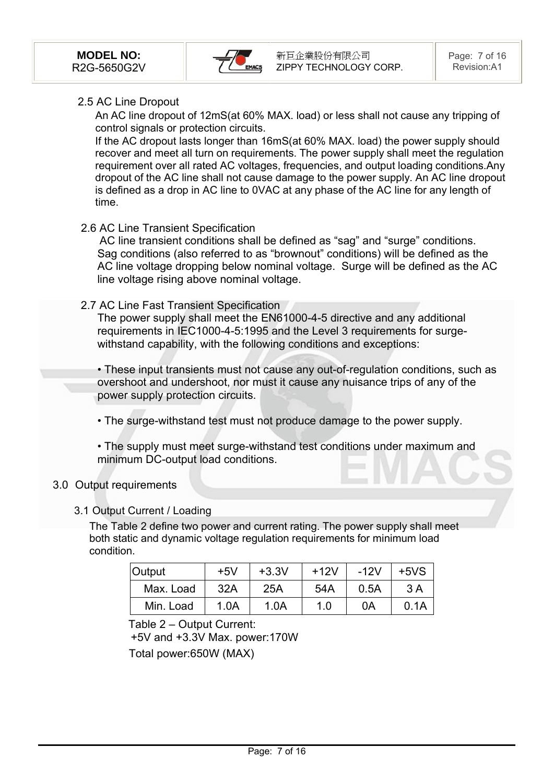

#### 2.5 AC Line Dropout

An AC line dropout of 12mS(at 60% MAX. load) or less shall not cause any tripping of control signals or protection circuits.

If the AC dropout lasts longer than 16mS(at 60% MAX. load) the power supply should recover and meet all turn on requirements. The power supply shall meet the regulation requirement over all rated AC voltages, frequencies, and output loading conditions.Any dropout of the AC line shall not cause damage to the power supply. An AC line dropout is defined as a drop in AC line to 0VAC at any phase of the AC line for any length of time.

#### 2.6 AC Line Transient Specification

 AC line transient conditions shall be defined as "sag" and "surge" conditions. Sag conditions (also referred to as "brownout" conditions) will be defined as the AC line voltage dropping below nominal voltage. Surge will be defined as the AC line voltage rising above nominal voltage.

#### 2.7 AC Line Fast Transient Specification

The power supply shall meet the EN61000-4-5 directive and any additional requirements in IEC1000-4-5:1995 and the Level 3 requirements for surgewithstand capability, with the following conditions and exceptions:

• These input transients must not cause any out-of-regulation conditions, such as overshoot and undershoot, nor must it cause any nuisance trips of any of the power supply protection circuits. .

• The surge-withstand test must not produce damage to the power supply.

• The supply must meet surge-withstand test conditions under maximum and minimum DC-output load conditions.

#### 3.0 Output requirements

#### 3.1 Output Current / Loading

The Table 2 define two power and current rating. The power supply shall meet both static and dynamic voltage regulation requirements for minimum load condition.

| <b>Output</b> | $+5V$ | $+3.3V$ | $+12V$ | $-12V$ | $+5VS$ |
|---------------|-------|---------|--------|--------|--------|
| Max. Load     | 32A   | 25A     | 54A    | 0.5A   | 3A     |
| Min. Load     | 1.0A  | 1.0A    | 1.0    | 0Α     | 0.1A   |

Table 2 – Output Current:

+5V and +3.3V Max. power:170W

Total power:650W (MAX)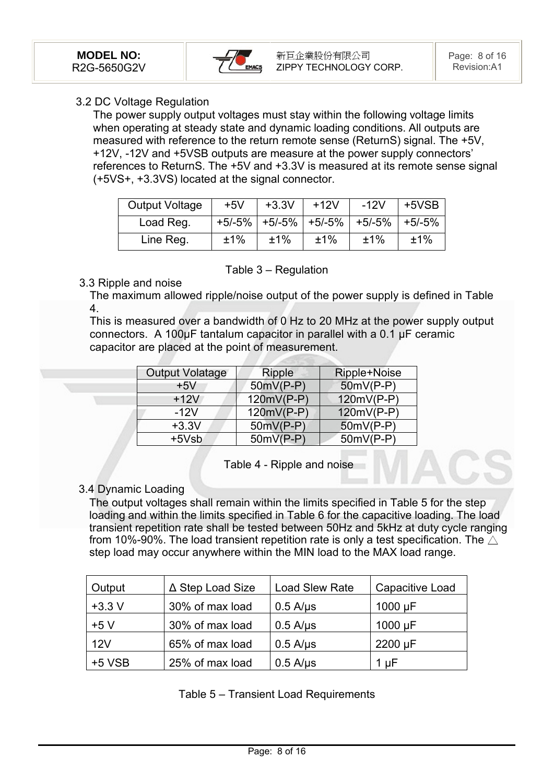

#### 3.2 DC Voltage Regulation

The power supply output voltages must stay within the following voltage limits when operating at steady state and dynamic loading conditions. All outputs are measured with reference to the return remote sense (ReturnS) signal. The +5V, +12V, -12V and +5VSB outputs are measure at the power supply connectors' references to ReturnS. The +5V and +3.3V is measured at its remote sense signal (+5VS+, +3.3VS) located at the signal connector.

| <b>Output Voltage</b> | $+5V$ | $+3.3V$ | $+12V$ | $-12V$                                       | +5VSB |
|-----------------------|-------|---------|--------|----------------------------------------------|-------|
| Load Reg.             |       |         |        | $+5/-5\%$ +5/-5% +5/-5% +5/-5% +5/-5% +5/-5% |       |
| Line Reg.             | ±1%   | ±1%     | ±1%    | ±1%                                          | ±1%   |

#### Table 3 – Regulation

# 3.3 Ripple and noise

The maximum allowed ripple/noise output of the power supply is defined in Table 4.

This is measured over a bandwidth of 0 Hz to 20 MHz at the power supply output connectors. A 100μF tantalum capacitor in parallel with a 0.1 μF ceramic capacitor are placed at the point of measurement.

| <b>Output Volatage</b> | <b>Ripple</b> | Ripple+Noise |
|------------------------|---------------|--------------|
| $+5V$                  | $50mV(P-P)$   | $50mV(P-P)$  |
| $+12V$                 | $120mV(P-P)$  | 120mV(P-P)   |
| $-12V$                 | $120mV(P-P)$  | 120mV(P-P)   |
| $+3.3V$                | 50mV(P-P)     | $50mV(P-P)$  |
| $+5Vsb$                | $50mV(P-P)$   | 50mV(P-P)    |

Table 4 - Ripple and noise

# 3.4 Dynamic Loading

The output voltages shall remain within the limits specified in Table 5 for the step loading and within the limits specified in Table 6 for the capacitive loading. The load transient repetition rate shall be tested between 50Hz and 5kHz at duty cycle ranging from 10%-90%. The load transient repetition rate is only a test specification. The  $\wedge$ step load may occur anywhere within the MIN load to the MAX load range.

| Output   | ∆ Step Load Size | <b>Load Slew Rate</b> | Capacitive Load |
|----------|------------------|-----------------------|-----------------|
| $+3.3 V$ | 30% of max load  | $0.5$ A/ $\mu$ s      | $1000 \mu F$    |
| $+5V$    | 30% of max load  | $0.5$ A/ $\mu$ s      | $1000 \mu F$    |
| 12V      | 65% of max load  | $0.5$ A/ $\mu$ s      | 2200 µF         |
| $+5$ VSB | 25% of max load  | $0.5$ A/ $\mu$ s      | 1 µF            |

|  |  |  | Table 5 – Transient Load Requirements |
|--|--|--|---------------------------------------|
|--|--|--|---------------------------------------|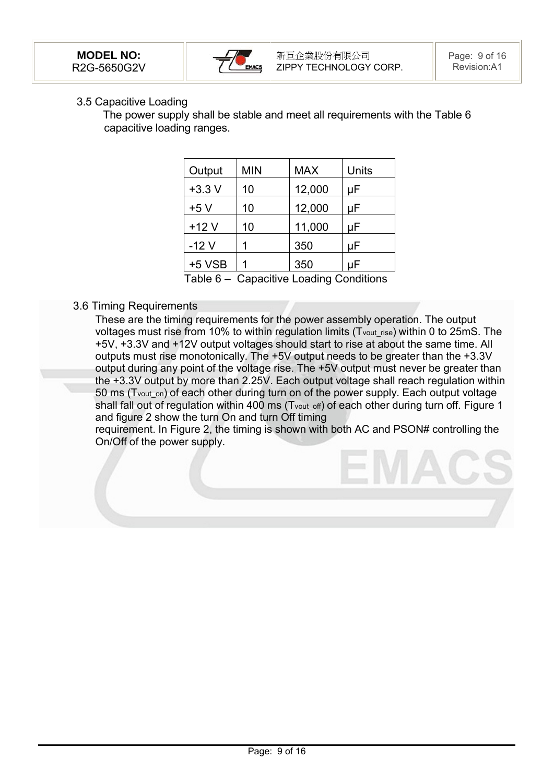

#### 3.5 Capacitive Loading

 The power supply shall be stable and meet all requirements with the Table 6 capacitive loading ranges.

| Output   | <b>MIN</b> | <b>MAX</b> | Units |
|----------|------------|------------|-------|
| $+3.3 V$ | 10         | 12,000     | μF    |
| $+5V$    | 10         | 12,000     | μF    |
| $+12V$   | 10         | 11,000     | μF    |
| $-12V$   | 1          | 350        | μF    |
| $+5$ VSB |            | 350        | uF    |

Table 6 – Capacitive Loading Conditions

#### 3.6 Timing Requirements

These are the timing requirements for the power assembly operation. The output voltages must rise from 10% to within regulation limits (Tvout\_rise) within 0 to 25mS. The +5V, +3.3V and +12V output voltages should start to rise at about the same time. All outputs must rise monotonically. The +5V output needs to be greater than the +3.3V output during any point of the voltage rise. The +5V output must never be greater than the +3.3V output by more than 2.25V. Each output voltage shall reach regulation within 50 ms (Tvout\_on) of each other during turn on of the power supply. Each output voltage shall fall out of regulation within 400 ms (Tvout off) of each other during turn off. Figure 1 and figure 2 show the turn On and turn Off timing

requirement. In Figure 2, the timing is shown with both AC and PSON# controlling the On/Off of the power supply.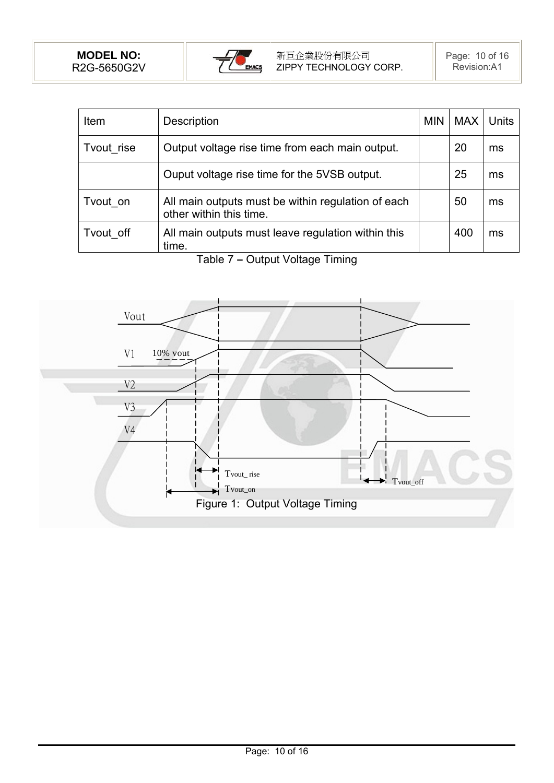

| Item       | <b>Description</b>                                                            | <b>MIN</b> | <b>MAX</b> | <b>Units</b> |
|------------|-------------------------------------------------------------------------------|------------|------------|--------------|
| Tvout rise | Output voltage rise time from each main output.                               |            | 20         | ms           |
|            | Ouput voltage rise time for the 5VSB output.                                  |            | 25         | ms           |
| Tvout on   | All main outputs must be within regulation of each<br>other within this time. |            | 50         | ms           |
| Tvout off  | All main outputs must leave regulation within this<br>time.                   |            | 400        | ms           |

Table 7 **–** Output Voltage Timing

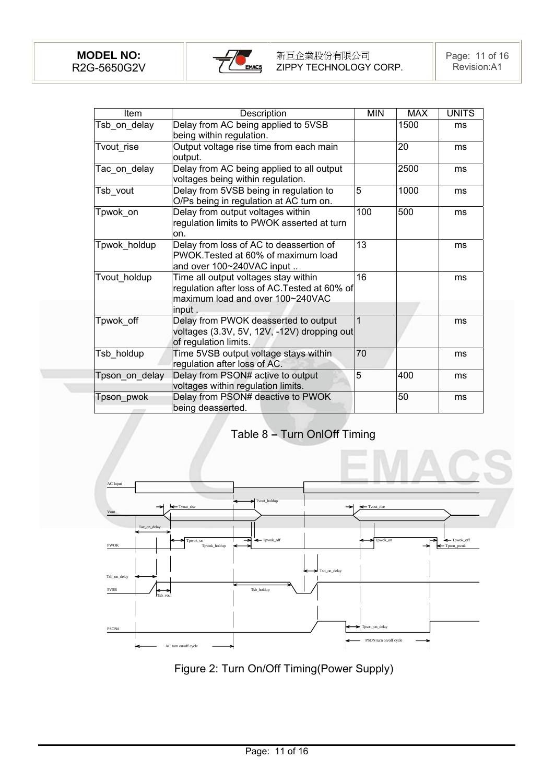

| Item           | Description                                                                                                                         | <b>MIN</b> | <b>MAX</b> | <b>UNITS</b> |
|----------------|-------------------------------------------------------------------------------------------------------------------------------------|------------|------------|--------------|
| Tsb_on_delay   | Delay from AC being applied to 5VSB<br>being within regulation.                                                                     |            | 1500       | ms           |
| Tvout_rise     | Output voltage rise time from each main<br>output.                                                                                  |            | 20         | ms           |
| Tac on delay   | Delay from AC being applied to all output<br>voltages being within regulation.                                                      |            | 2500       | ms           |
| Tsb_vout       | Delay from 5VSB being in regulation to<br>O/Ps being in regulation at AC turn on.                                                   | 5          | 1000       | ms           |
| Tpwok on       | Delay from output voltages within<br>regulation limits to PWOK asserted at turn<br>on.                                              | 100        | 500        | ms           |
| Tpwok_holdup   | Delay from loss of AC to deassertion of<br>PWOK. Tested at 60% of maximum load<br>and over 100~240VAC input                         | 13         |            | ms           |
| Tvout holdup   | Time all output voltages stay within<br>regulation after loss of AC. Tested at 60% of<br>maximum load and over 100~240VAC<br>input. | 16         |            | ms           |
| Tpwok off      | Delay from PWOK deasserted to output<br>voltages (3.3V, 5V, 12V, -12V) dropping out<br>of regulation limits.                        | 1          |            | ms           |
| Tsb_holdup     | Time 5VSB output voltage stays within<br>regulation after loss of AC.                                                               | 70         |            | ms           |
| Tpson on delay | Delay from PSON# active to output<br>voltages within regulation limits.                                                             | 5          | 400        | ms           |
| Tpson pwok     | Delay from PSON# deactive to PWOK<br>being deasserted.                                                                              |            | 50         | ms           |

Table 8 **–** Turn OnlOff Timing



Figure 2: Turn On/Off Timing(Power Supply)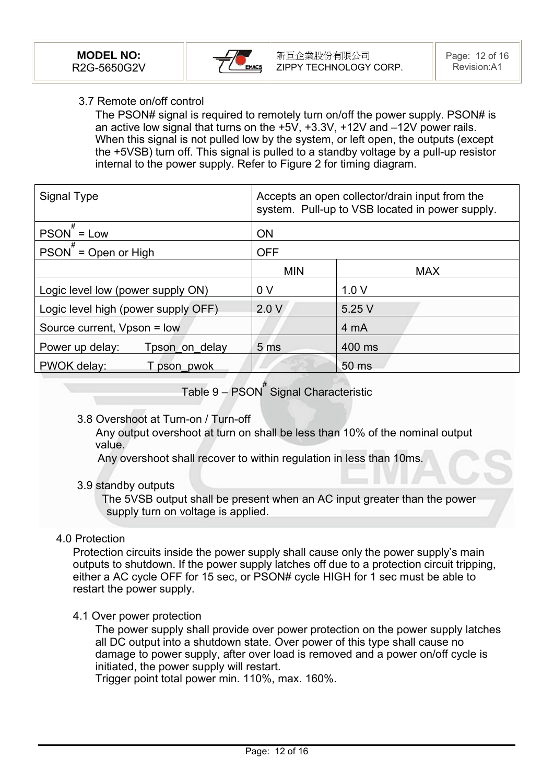

#### 3.7 Remote on/off control

The PSON# signal is required to remotely turn on/off the power supply. PSON# is an active low signal that turns on the +5V, +3.3V, +12V and –12V power rails. When this signal is not pulled low by the system, or left open, the outputs (except the +5VSB) turn off. This signal is pulled to a standby voltage by a pull-up resistor internal to the power supply. Refer to Figure 2 for timing diagram.

| Signal Type                         | Accepts an open collector/drain input from the<br>system. Pull-up to VSB located in power supply. |            |  |
|-------------------------------------|---------------------------------------------------------------------------------------------------|------------|--|
| $PSON$ = Low                        | <b>ON</b>                                                                                         |            |  |
| $PSON^{\#} = Open or High$          | <b>OFF</b>                                                                                        |            |  |
|                                     | <b>MIN</b>                                                                                        | <b>MAX</b> |  |
| Logic level low (power supply ON)   | 0 <sub>V</sub>                                                                                    | 1.0V       |  |
| Logic level high (power supply OFF) | 2.0V                                                                                              | 5.25 V     |  |
| Source current, Vpson = low         |                                                                                                   | 4 mA       |  |
| Power up delay:<br>Tpson on delay   | 5 <sub>ms</sub>                                                                                   | 400 ms     |  |
| PWOK delay:<br>T pson pwok          |                                                                                                   | 50 ms      |  |

Table 9 – PSON<sup>#</sup> Signal Characteristic

#### 3.8 Overshoot at Turn-on / Turn-off

 Any output overshoot at turn on shall be less than 10% of the nominal output value.

Any overshoot shall recover to within regulation in less than 10ms.

#### 3.9 standby outputs

 The 5VSB output shall be present when an AC input greater than the power supply turn on voltage is applied.

#### 4.0 Protection

Protection circuits inside the power supply shall cause only the power supply's main outputs to shutdown. If the power supply latches off due to a protection circuit tripping, either a AC cycle OFF for 15 sec, or PSON# cycle HIGH for 1 sec must be able to restart the power supply.

4.1 Over power protection

The power supply shall provide over power protection on the power supply latches all DC output into a shutdown state. Over power of this type shall cause no damage to power supply, after over load is removed and a power on/off cycle is initiated, the power supply will restart.

Trigger point total power min. 110%, max. 160%.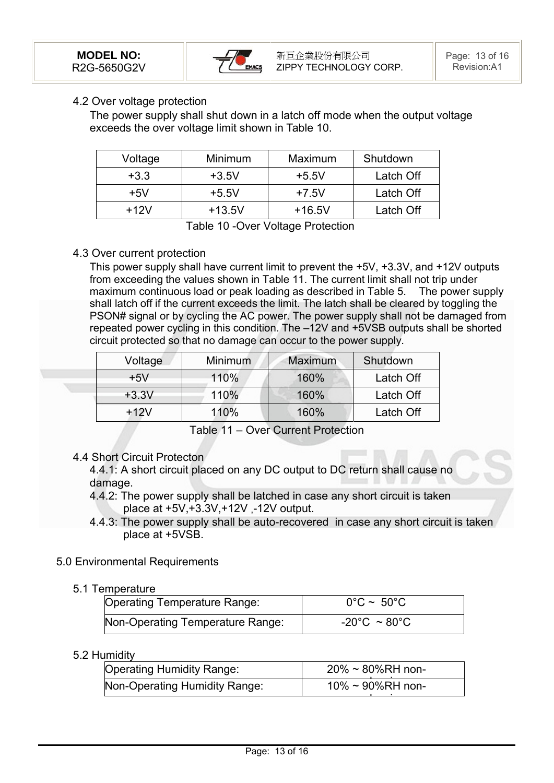

#### 4.2 Over voltage protection

The power supply shall shut down in a latch off mode when the output voltage exceeds the over voltage limit shown in Table 10.

| Voltage | Minimum  | Maximum  | Shutdown  |
|---------|----------|----------|-----------|
| $+3.3$  | $+3.5V$  | $+5.5V$  | Latch Off |
| $+5V$   | $+5.5V$  | $+7.5V$  | Latch Off |
| $+12V$  | $+13.5V$ | $+16.5V$ | Latch Off |

Table 10 -Over Voltage Protection

#### 4.3 Over current protection

This power supply shall have current limit to prevent the +5V, +3.3V, and +12V outputs from exceeding the values shown in Table 11. The current limit shall not trip under maximum continuous load or peak loading as described in Table 5. The power supply shall latch off if the current exceeds the limit. The latch shall be cleared by toggling the PSON# signal or by cycling the AC power. The power supply shall not be damaged from repeated power cycling in this condition. The –12V and +5VSB outputs shall be shorted circuit protected so that no damage can occur to the power supply.

| Voltage | <b>Minimum</b> | <b>Maximum</b> | Shutdown  |
|---------|----------------|----------------|-----------|
| $+5V$   | 110%           | 160%           | Latch Off |
| $+3.3V$ | 110%           | 160%           | Latch Off |
| $+12V$  | 110%           | 160%           | Latch Off |

Table 11 – Over Current Protection

4.4 Short Circuit Protecton

4.4.1: A short circuit placed on any DC output to DC return shall cause no damage.

- 4.4.2: The power supply shall be latched in case any short circuit is taken place at +5V,+3.3V,+12V ,-12V output.
- 4.4.3: The power supply shall be auto-recovered in case any short circuit is taken place at +5VSB.

#### 5.0 Environmental Requirements

#### 5.1 Temperature

| Operating Temperature Range:     | $0^{\circ}$ C ~ 50 $^{\circ}$ C   |
|----------------------------------|-----------------------------------|
| Non-Operating Temperature Range: | $-20^{\circ}$ C ~ 80 $^{\circ}$ C |
|                                  |                                   |

#### 5.2 Humidity

| <b>Operating Humidity Range:</b> | $20\% \approx 80\% RH$ non- |
|----------------------------------|-----------------------------|
| Non-Operating Humidity Range:    | $10\% \sim 90\%$ RH non-    |
|                                  |                             |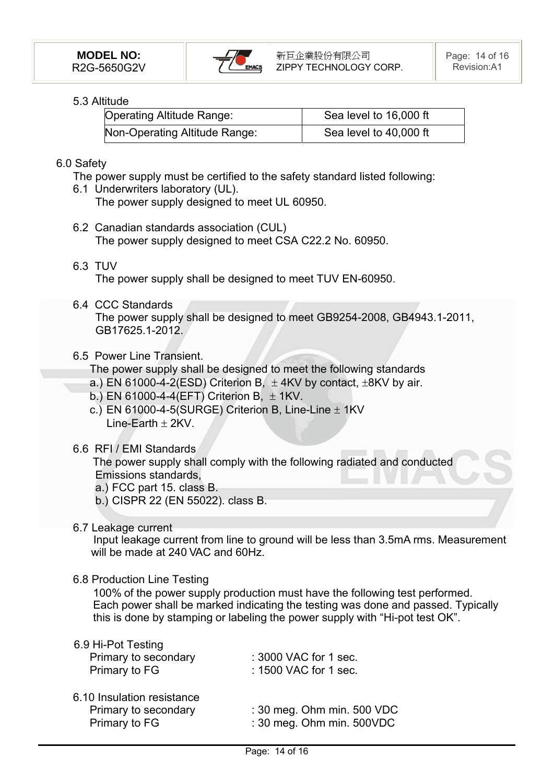

### 5.3 Altitude

| <b>Operating Altitude Range:</b> | Sea level to 16,000 ft |  |  |
|----------------------------------|------------------------|--|--|
| Non-Operating Altitude Range:    | Sea level to 40,000 ft |  |  |

#### 6.0 Safety

- The power supply must be certified to the safety standard listed following:
- 6.1 Underwriters laboratory (UL). The power supply designed to meet UL 60950.
- 6.2 Canadian standards association (CUL) The power supply designed to meet CSA C22.2 No. 60950.
- 6.3 TUV

The power supply shall be designed to meet TUV EN-60950.

6.4 CCC Standards

The power supply shall be designed to meet GB9254-2008, GB4943.1-2011, GB17625.1-2012.

#### 6.5 Power Line Transient.

The power supply shall be designed to meet the following standards

- a.) EN 61000-4-2(ESD) Criterion B,  $\pm$  4KV by contact,  $\pm$ 8KV by air.
- b.) EN 61000-4-4(EFT) Criterion B,  $\pm$  1KV.
- c.) EN 61000-4-5(SURGE) Criterion B, Line-Line  $\pm$  1KV  $Line-Farth + 2KV$
- 6.6 RFI / EMI Standards

 The power supply shall comply with the following radiated and conducted Emissions standards,

- a.) FCC part 15. class B.
- b.) CISPR 22 (EN 55022). class B.
- 6.7 Leakage current

 Input leakage current from line to ground will be less than 3.5mA rms. Measurement will be made at 240 VAC and 60Hz.

#### 6.8 Production Line Testing

100% of the power supply production must have the following test performed. Each power shall be marked indicating the testing was done and passed. Typically this is done by stamping or labeling the power supply with "Hi-pot test OK".

#### 6.9 Hi-Pot Testing

| Primary to secondary                                                | : 3000 VAC for 1 sec.                                   |
|---------------------------------------------------------------------|---------------------------------------------------------|
| Primary to FG                                                       | : 1500 VAC for 1 sec.                                   |
| 6.10 Insulation resistance<br>Primary to secondary<br>Primary to FG | : 30 meg. Ohm min. 500 VDC<br>: 30 meg. Ohm min. 500VDC |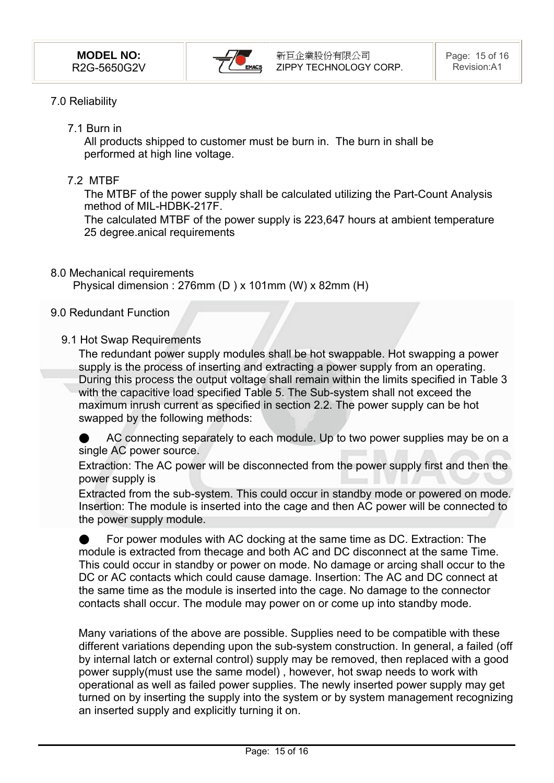

### 7.0 Reliability

7.1 Burn in

All products shipped to customer must be burn in. The burn in shall be performed at high line voltage.

7.2 MTBF

The MTBF of the power supply shall be calculated utilizing the Part-Count Analysis method of MIL-HDBK-217F.

The calculated MTBF of the power supply is 223,647 hours at ambient temperature 25 degree.anical requirements

8.0 Mechanical requirements

Physical dimension : 276mm (D ) x 101mm (W) x 82mm (H)

#### 9.0 Redundant Function

#### 9.1 Hot Swap Requirements

The redundant power supply modules shall be hot swappable. Hot swapping a power supply is the process of inserting and extracting a power supply from an operating. During this process the output voltage shall remain within the limits specified in Table 3 with the capacitive load specified Table 5. The Sub-system shall not exceed the .maximum inrush current as specified in section 2.2. The power supply can be hot swapped by the following methods:

AC connecting separately to each module. Up to two power supplies may be on a single AC power source.

Extraction: The AC power will be disconnected from the power supply first and then the power supply is

Extracted from the sub-system. This could occur in standby mode or powered on mode. Insertion: The module is inserted into the cage and then AC power will be connected to the power supply module.

For power modules with AC docking at the same time as DC. Extraction: The module is extracted from thecage and both AC and DC disconnect at the same Time. This could occur in standby or power on mode. No damage or arcing shall occur to the DC or AC contacts which could cause damage. Insertion: The AC and DC connect at the same time as the module is inserted into the cage. No damage to the connector contacts shall occur. The module may power on or come up into standby mode.

Many variations of the above are possible. Supplies need to be compatible with these different variations depending upon the sub-system construction. In general, a failed (off by internal latch or external control) supply may be removed, then replaced with a good power supply(must use the same model) , however, hot swap needs to work with operational as well as failed power supplies. The newly inserted power supply may get turned on by inserting the supply into the system or by system management recognizing an inserted supply and explicitly turning it on.